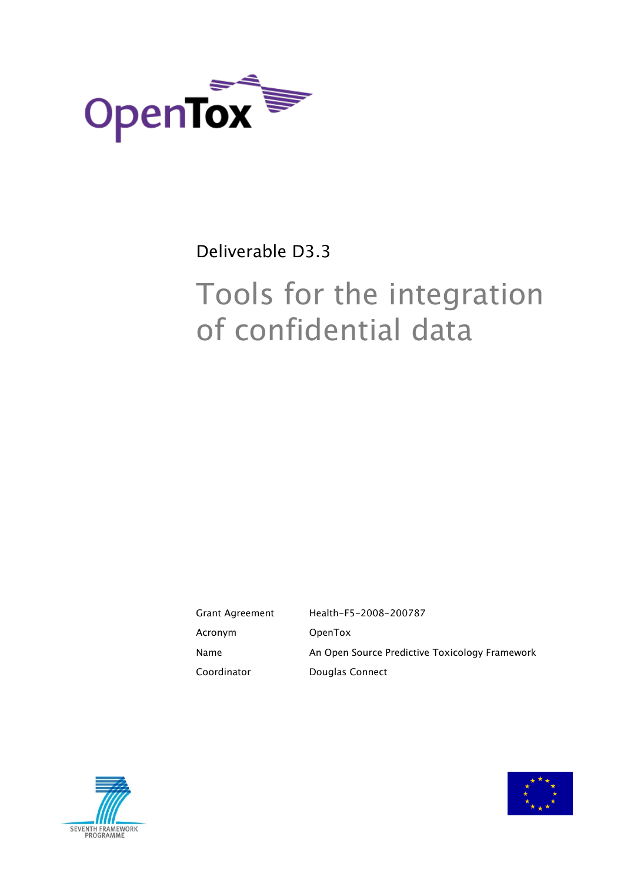

# Deliverable D3.3

# Tools for the integration of confidential data

Grant Agreement Health-F5-2008-200787 Acronym OpenTox Name **An Open Source Predictive Toxicology Framework** Coordinator Douglas Connect



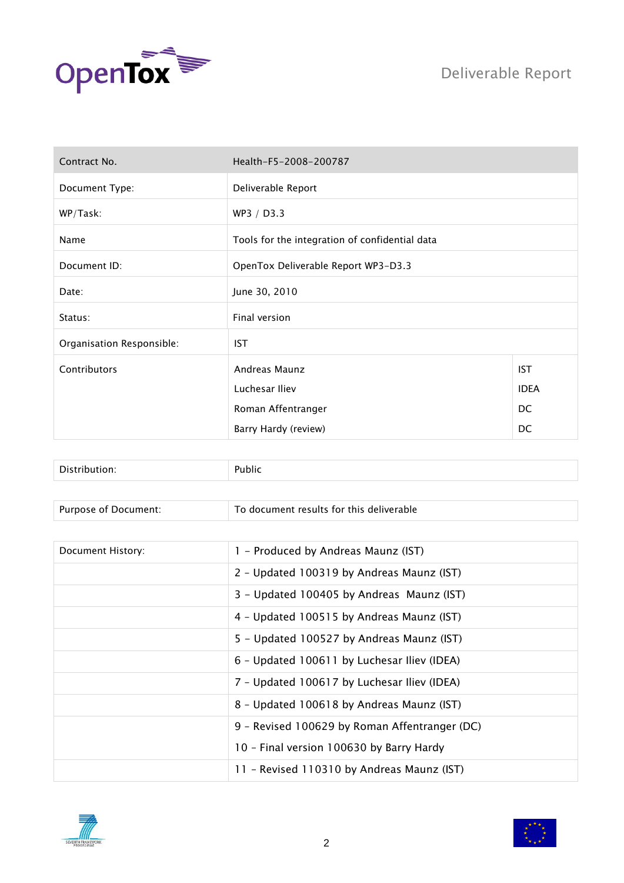



| Contract No.              | Health-F5-2008-200787                          |             |  |
|---------------------------|------------------------------------------------|-------------|--|
| Document Type:            | Deliverable Report                             |             |  |
| WP/Task:                  | WP3 / D3.3                                     |             |  |
| Name                      | Tools for the integration of confidential data |             |  |
| Document ID:              | OpenTox Deliverable Report WP3-D3.3            |             |  |
| Date:                     | June 30, 2010                                  |             |  |
| Status:                   | Final version                                  |             |  |
| Organisation Responsible: | <b>IST</b>                                     |             |  |
| Contributors              | Andreas Maunz                                  | <b>IST</b>  |  |
|                           | Luchesar Iliev                                 | <b>IDEA</b> |  |
|                           | Roman Affentranger                             | DC          |  |
|                           | Barry Hardy (review)                           | DC          |  |

| . | . |
|---|---|
|---|---|

| Purpose of Document: | $\perp$ To document results for this deliverable |
|----------------------|--------------------------------------------------|
|----------------------|--------------------------------------------------|

| Document History: | 1 - Produced by Andreas Maunz (IST)           |
|-------------------|-----------------------------------------------|
|                   | 2 - Updated 100319 by Andreas Maunz (IST)     |
|                   | 3 - Updated 100405 by Andreas Maunz (IST)     |
|                   | 4 - Updated 100515 by Andreas Maunz (IST)     |
|                   | 5 - Updated 100527 by Andreas Maunz (IST)     |
|                   | 6 - Updated 100611 by Luchesar Iliev (IDEA)   |
|                   | 7 - Updated 100617 by Luchesar Iliev (IDEA)   |
|                   | 8 - Updated 100618 by Andreas Maunz (IST)     |
|                   | 9 - Revised 100629 by Roman Affentranger (DC) |
|                   | 10 - Final version 100630 by Barry Hardy      |
|                   | 11 - Revised 110310 by Andreas Maunz (IST)    |



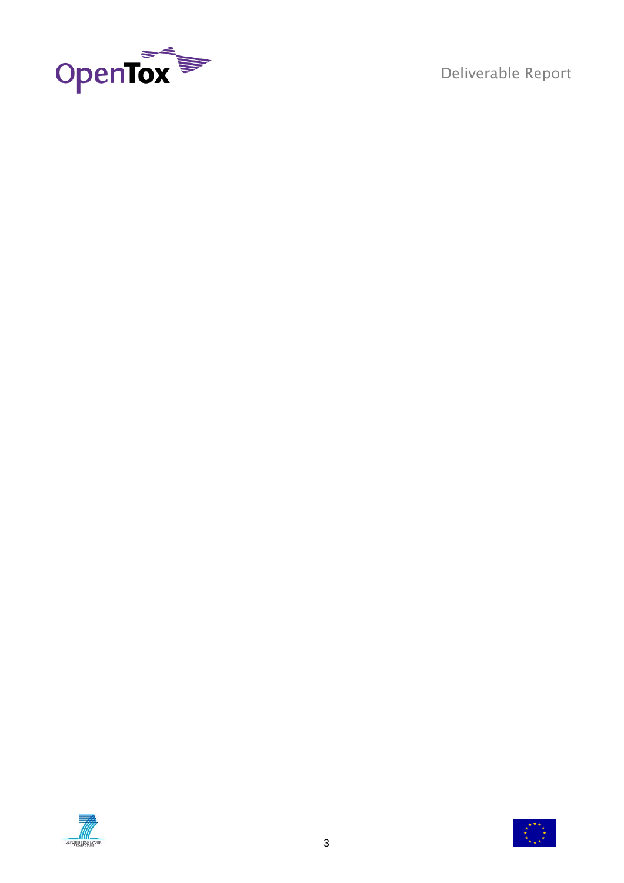



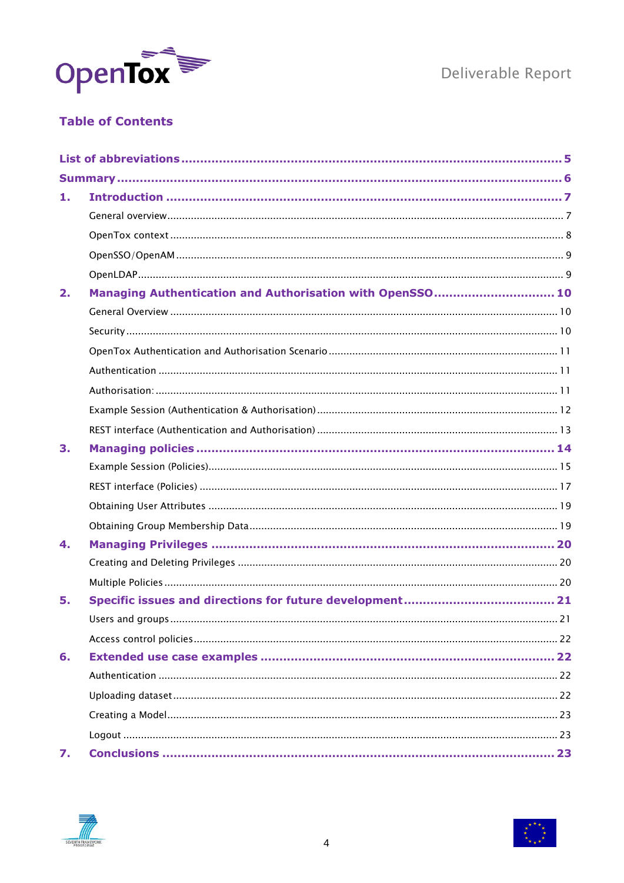

## **Table of Contents**

| 1. |                                                           |  |
|----|-----------------------------------------------------------|--|
|    |                                                           |  |
|    |                                                           |  |
|    |                                                           |  |
|    |                                                           |  |
| 2. | Managing Authentication and Authorisation with OpenSSO 10 |  |
|    |                                                           |  |
|    |                                                           |  |
|    |                                                           |  |
|    |                                                           |  |
|    |                                                           |  |
|    |                                                           |  |
|    |                                                           |  |
| 3. |                                                           |  |
|    |                                                           |  |
|    |                                                           |  |
|    |                                                           |  |
|    |                                                           |  |
| 4. |                                                           |  |
|    |                                                           |  |
|    |                                                           |  |
| 5. |                                                           |  |
|    |                                                           |  |
|    |                                                           |  |
| 6. |                                                           |  |
|    |                                                           |  |
|    |                                                           |  |
|    |                                                           |  |
|    |                                                           |  |
| 7. |                                                           |  |



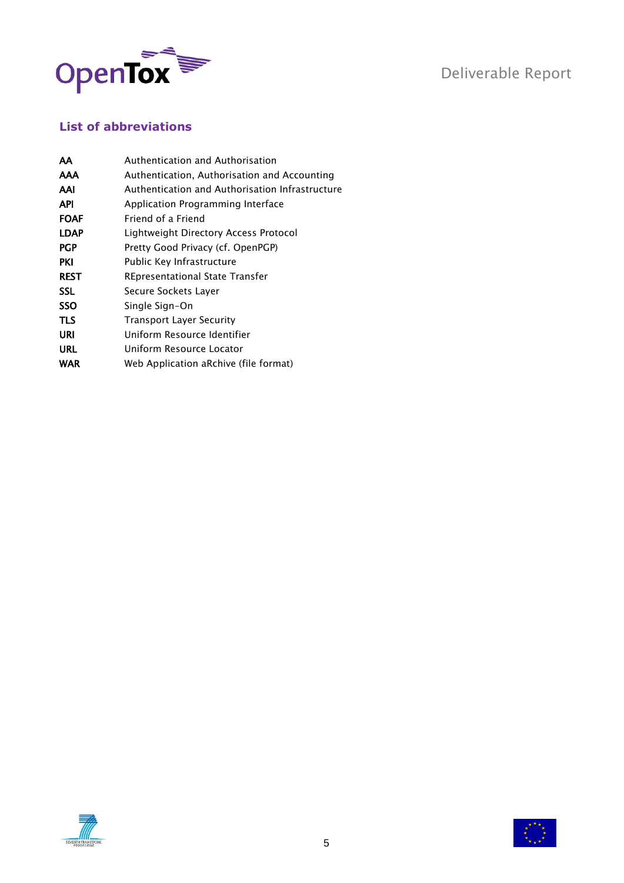

## <span id="page-4-0"></span>**List of abbreviations**

| AA          | Authentication and Authorisation                |
|-------------|-------------------------------------------------|
| AAA         | Authentication, Authorisation and Accounting    |
| AAI         | Authentication and Authorisation Infrastructure |
| <b>API</b>  | Application Programming Interface               |
| <b>FOAF</b> | Friend of a Friend                              |
| <b>LDAP</b> | Lightweight Directory Access Protocol           |
| <b>PGP</b>  | Pretty Good Privacy (cf. OpenPGP)               |
| PKI         | Public Key Infrastructure                       |
| <b>REST</b> | REpresentational State Transfer                 |
| SSL         | Secure Sockets Layer                            |
| SSO         | Single Sign-On                                  |
| <b>TLS</b>  | <b>Transport Layer Security</b>                 |
| URI         | Uniform Resource Identifier                     |
| <b>URL</b>  | Uniform Resource Locator                        |
| <b>WAR</b>  | Web Application aRchive (file format)           |
|             |                                                 |



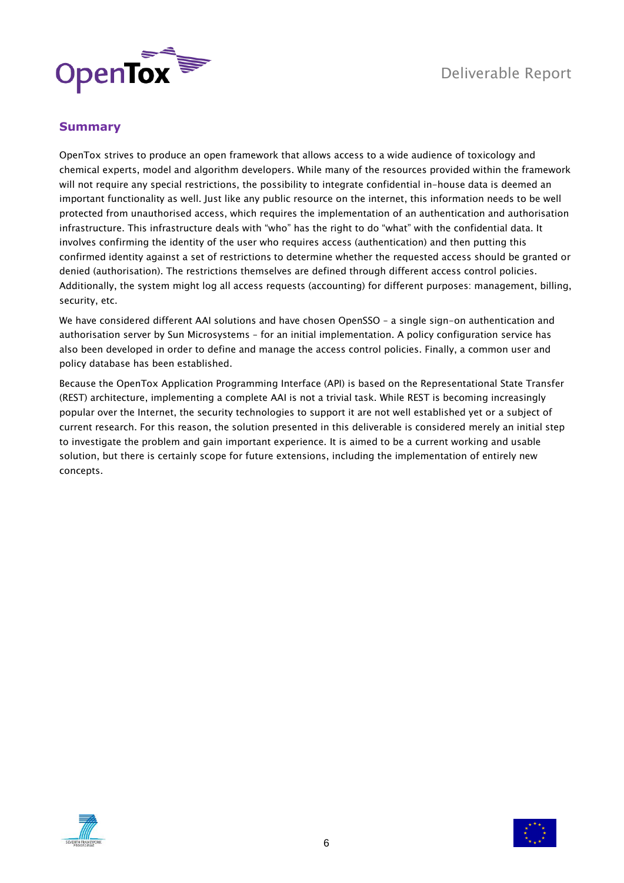

## <span id="page-5-0"></span>**Summary**

OpenTox strives to produce an open framework that allows access to a wide audience of toxicology and chemical experts, model and algorithm developers. While many of the resources provided within the framework will not require any special restrictions, the possibility to integrate confidential in-house data is deemed an important functionality as well. Just like any public resource on the internet, this information needs to be well protected from unauthorised access, which requires the implementation of an authentication and authorisation infrastructure. This infrastructure deals with "who" has the right to do "what" with the confidential data. It involves confirming the identity of the user who requires access (authentication) and then putting this confirmed identity against a set of restrictions to determine whether the requested access should be granted or denied (authorisation). The restrictions themselves are defined through different access control policies. Additionally, the system might log all access requests (accounting) for different purposes: management, billing, security, etc.

We have considered different AAI solutions and have chosen OpenSSO – a single sign-on authentication and authorisation server by Sun Microsystems – for an initial implementation. A policy configuration service has also been developed in order to define and manage the access control policies. Finally, a common user and policy database has been established.

Because the OpenTox Application Programming Interface (API) is based on the Representational State Transfer (REST) architecture, implementing a complete AAI is not a trivial task. While REST is becoming increasingly popular over the Internet, the security technologies to support it are not well established yet or a subject of current research. For this reason, the solution presented in this deliverable is considered merely an initial step to investigate the problem and gain important experience. It is aimed to be a current working and usable solution, but there is certainly scope for future extensions, including the implementation of entirely new concepts.



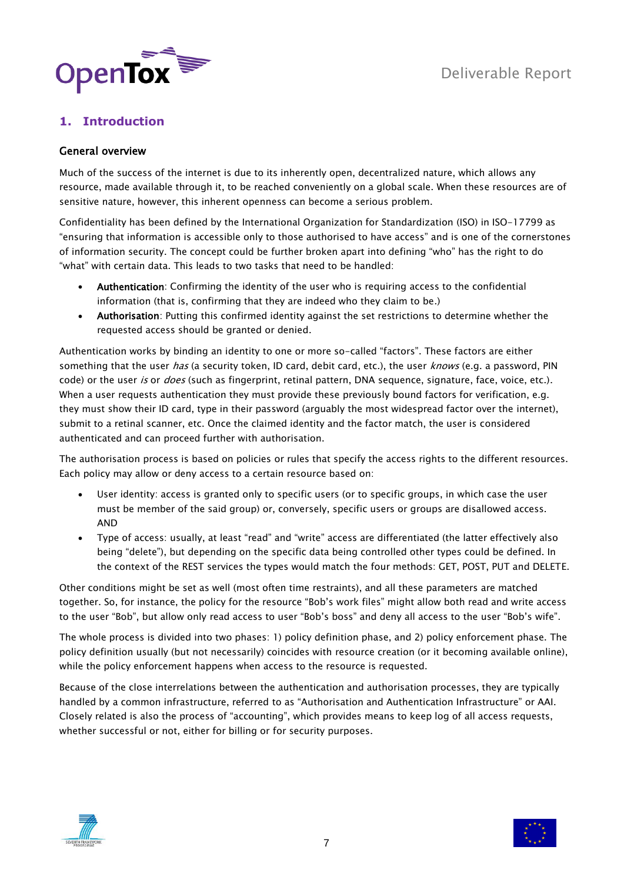

## <span id="page-6-0"></span>**1. Introduction**

## <span id="page-6-1"></span>General overview

Much of the success of the internet is due to its inherently open, decentralized nature, which allows any resource, made available through it, to be reached conveniently on a global scale. When these resources are of sensitive nature, however, this inherent openness can become a serious problem.

Confidentiality has been defined by the International Organization for Standardization (ISO) in ISO-17799 as "ensuring that information is accessible only to those authorised to have access" and is one of the cornerstones of information security. The concept could be further broken apart into defining "who" has the right to do "what" with certain data. This leads to two tasks that need to be handled:

- Authentication: Confirming the identity of the user who is requiring access to the confidential information (that is, confirming that they are indeed who they claim to be.)
- Authorisation: Putting this confirmed identity against the set restrictions to determine whether the requested access should be granted or denied.

Authentication works by binding an identity to one or more so-called "factors". These factors are either something that the user has (a security token, ID card, debit card, etc.), the user knows (e.g. a password, PIN code) or the user is or does (such as fingerprint, retinal pattern, DNA sequence, signature, face, voice, etc.). When a user requests authentication they must provide these previously bound factors for verification, e.g. they must show their ID card, type in their password (arguably the most widespread factor over the internet), submit to a retinal scanner, etc. Once the claimed identity and the factor match, the user is considered authenticated and can proceed further with authorisation.

The authorisation process is based on policies or rules that specify the access rights to the different resources. Each policy may allow or deny access to a certain resource based on:

- User identity: access is granted only to specific users (or to specific groups, in which case the user must be member of the said group) or, conversely, specific users or groups are disallowed access. AND
- Type of access: usually, at least "read" and "write" access are differentiated (the latter effectively also being "delete"), but depending on the specific data being controlled other types could be defined. In the context of the REST services the types would match the four methods: GET, POST, PUT and DELETE.

Other conditions might be set as well (most often time restraints), and all these parameters are matched together. So, for instance, the policy for the resource "Bob's work files" might allow both read and write access to the user "Bob", but allow only read access to user "Bob's boss" and deny all access to the user "Bob's wife".

The whole process is divided into two phases: 1) policy definition phase, and 2) policy enforcement phase. The policy definition usually (but not necessarily) coincides with resource creation (or it becoming available online), while the policy enforcement happens when access to the resource is requested.

Because of the close interrelations between the authentication and authorisation processes, they are typically handled by a common infrastructure, referred to as "Authorisation and Authentication Infrastructure" or AAI. Closely related is also the process of "accounting", which provides means to keep log of all access requests, whether successful or not, either for billing or for security purposes.



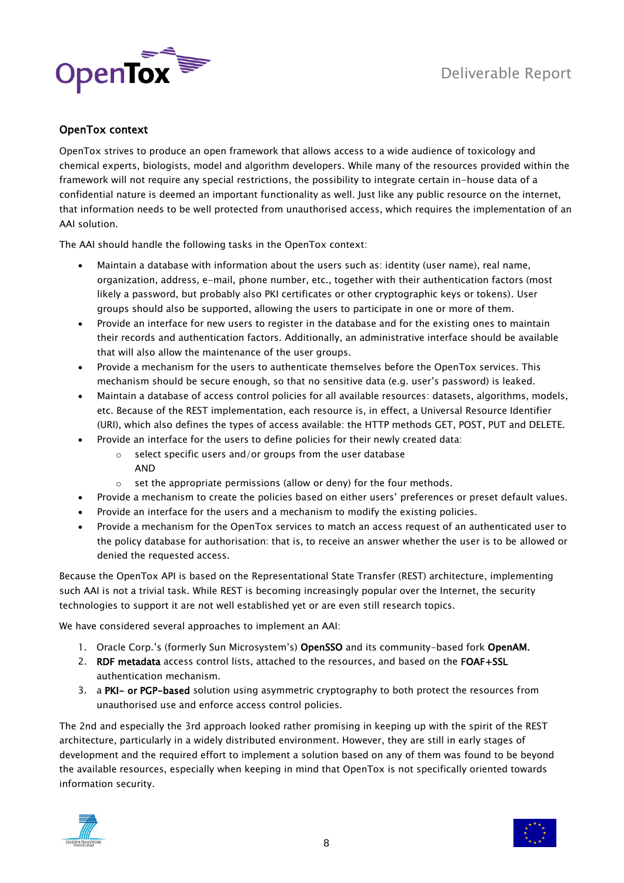

## <span id="page-7-0"></span>OpenTox context

OpenTox strives to produce an open framework that allows access to a wide audience of toxicology and chemical experts, biologists, model and algorithm developers. While many of the resources provided within the framework will not require any special restrictions, the possibility to integrate certain in-house data of a confidential nature is deemed an important functionality as well. Just like any public resource on the internet, that information needs to be well protected from unauthorised access, which requires the implementation of an AAI solution.

The AAI should handle the following tasks in the OpenTox context:

- Maintain a database with information about the users such as: identity (user name), real name, organization, address, e-mail, phone number, etc., together with their authentication factors (most likely a password, but probably also PKI certificates or other cryptographic keys or tokens). User groups should also be supported, allowing the users to participate in one or more of them.
- Provide an interface for new users to register in the database and for the existing ones to maintain their records and authentication factors. Additionally, an administrative interface should be available that will also allow the maintenance of the user groups.
- Provide a mechanism for the users to authenticate themselves before the OpenTox services. This mechanism should be secure enough, so that no sensitive data (e.g. user's password) is leaked.
- Maintain a database of access control policies for all available resources: datasets, algorithms, models, etc. Because of the REST implementation, each resource is, in effect, a Universal Resource Identifier (URI), which also defines the types of access available: the HTTP methods GET, POST, PUT and DELETE.
	- Provide an interface for the users to define policies for their newly created data:
		- o select specific users and/or groups from the user database AND
		- $\circ$  set the appropriate permissions (allow or deny) for the four methods.
- Provide a mechanism to create the policies based on either users' preferences or preset default values.
- Provide an interface for the users and a mechanism to modify the existing policies.
- Provide a mechanism for the OpenTox services to match an access request of an authenticated user to the policy database for authorisation: that is, to receive an answer whether the user is to be allowed or denied the requested access.

Because the OpenTox API is based on the Representational State Transfer (REST) architecture, implementing such AAI is not a trivial task. While REST is becoming increasingly popular over the Internet, the security technologies to support it are not well established yet or are even still research topics.

We have considered several approaches to implement an AAI:

- 1. Oracle Corp.'s (formerly Sun Microsystem's) OpenSSO and its community-based fork OpenAM.
- 2. RDF metadata access control lists, attached to the resources, and based on the FOAF+SSL authentication mechanism.
- 3. a PKI- or PGP-based solution using asymmetric cryptography to both protect the resources from unauthorised use and enforce access control policies.

The 2nd and especially the 3rd approach looked rather promising in keeping up with the spirit of the REST architecture, particularly in a widely distributed environment. However, they are still in early stages of development and the required effort to implement a solution based on any of them was found to be beyond the available resources, especially when keeping in mind that OpenTox is not specifically oriented towards information security.



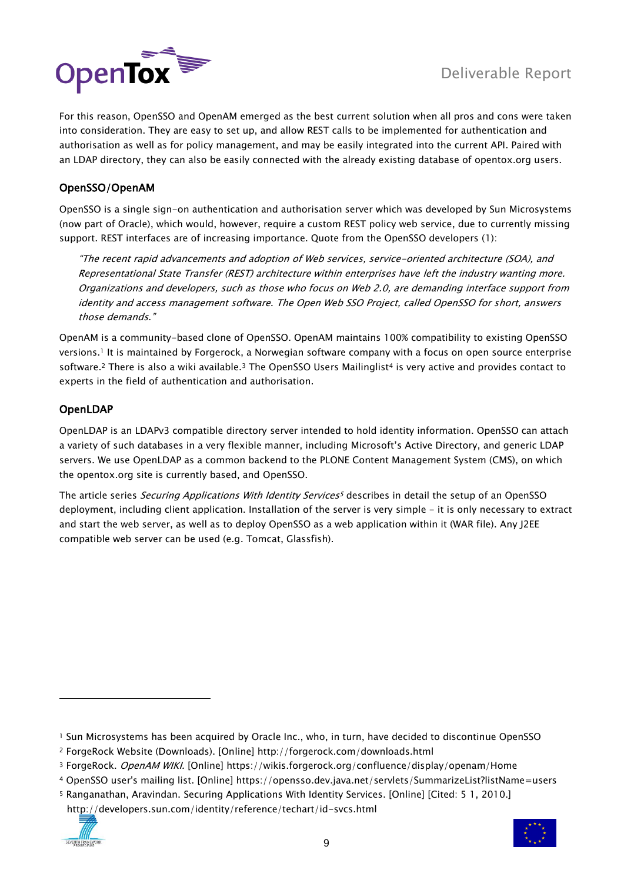

For this reason, OpenSSO and OpenAM emerged as the best current solution when all pros and cons were taken into consideration. They are easy to set up, and allow REST calls to be implemented for authentication and authorisation as well as for policy management, and may be easily integrated into the current API. Paired with an LDAP directory, they can also be easily connected with the already existing database of opentox.org users.

## <span id="page-8-0"></span>OpenSSO/OpenAM

OpenSSO is a single sign-on authentication and authorisation server which was developed by Sun Microsystems (now part of Oracle), which would, however, require a custom REST policy web service, due to currently missing support. REST interfaces are of increasing importance. Quote from the OpenSSO developers (1):

"The recent rapid advancements and adoption of Web services, service-oriented architecture (SOA), and Representational State Transfer (REST) architecture within enterprises have left the industry wanting more. Organizations and developers, such as those who focus on Web 2.0, are demanding interface support from identity and access management software. The Open Web SSO Project, called OpenSSO for short, answers those demands."

OpenAM is a community-based clone of OpenSSO. OpenAM maintains 100% compatibility to existing OpenSSO versions. <sup>1</sup> It is maintained by Forgerock, a Norwegian software company with a focus on open source enterprise software.<sup>2</sup> There is also a wiki available.<sup>3</sup> The [OpenSSO Users Mailinglist](https://opensso.dev.java.net/servlets/SummarizeList?listName=users)<sup>4</sup> is very active and provides contact to experts in the field of authentication and authorisation.

## <span id="page-8-1"></span>OpenLDAP

OpenLDAP is an LDAPv3 compatible directory server intended to hold identity information. OpenSSO can attach a variety of such databases in a very flexible manner, including Microsoft's Active Directory, and generic LDAP servers. We use OpenLDAP as a common backend to the PLONE Content Management System (CMS), on which the opentox.org site is currently based, and OpenSSO.

The article series [Securing Applications](http://developers.sun.com/identity/reference/techart/id-svcs.html) With Identity Services<sup>5</sup> describes in detail the setup of an OpenSSO deployment, including client application. Installation of the server is very simple - it is only necessary to extract and start the web server, as well as to deploy OpenSSO as a web application within it (WAR file). [Any J2EE](http://en.wikipedia.org/wiki/J2ee#Certified_application_servers)  [compatible web](http://en.wikipedia.org/wiki/J2ee#Certified_application_servers) server can be used (e.g. Tomcat, Glassfish).

http://developers.sun.com/identity/reference/techart/id-svcs.html



-



<sup>1</sup> Sun Microsystems has been acquired by Oracle Inc., who, in turn, have decided to discontinue OpenSSO

<sup>2</sup> ForgeRock Website (Downloads). [Online] http://forgerock.com/downloads.html

<sup>3</sup> ForgeRock. OpenAM WIKI. [Online] https://wikis.forgerock.org/confluence/display/openam/Home

<sup>4</sup> OpenSSO user's mailing list. [Online] https://opensso.dev.java.net/servlets/SummarizeList?listName=users

<sup>5</sup> Ranganathan, Aravindan. Securing Applications With Identity Services. [Online] [Cited: 5 1, 2010.]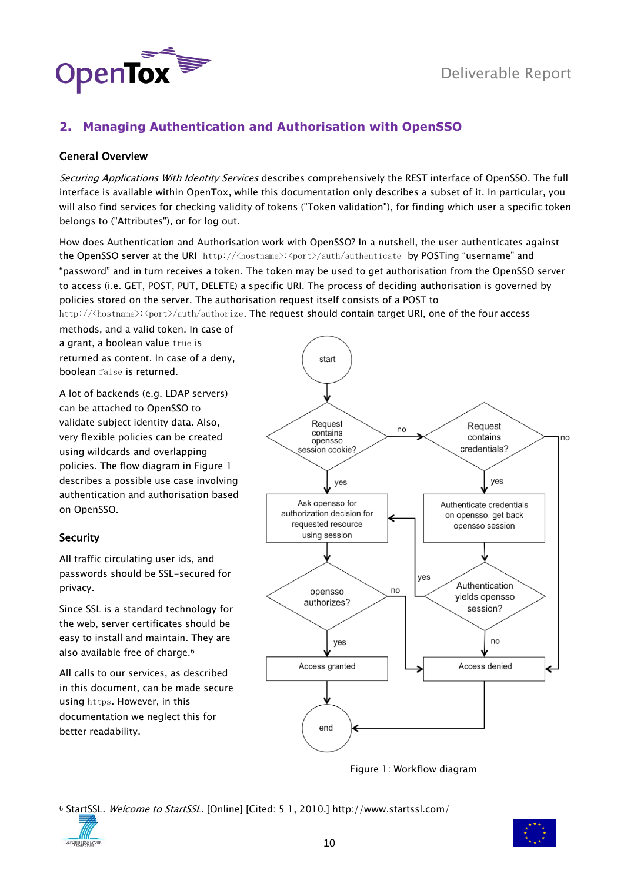

## <span id="page-9-0"></span>**2. Managing Authentication and Authorisation with OpenSSO**

#### <span id="page-9-1"></span>General Overview

[Securing Applications With Identity Services](http://developers.sun.com/identity/reference/techart/id-svcs.html) describes comprehensively the REST interface of OpenSSO. The full interface is available within OpenTox, while this documentation only describes a subset of it. In particular, you will also find services for checking validity of tokens ("Token validation"), for finding which user a specific token belongs to ("Attributes"), or for log out.

How does Authentication and Authorisation work with OpenSSO? In a nutshell, the user authenticates against the OpenSSO server at the URI http://<hostname>:<port>/auth/authenticate by POSTing "username" and "password" and in turn receives a token. The token may be used to get authorisation from the OpenSSO server to access (i.e. GET, POST, PUT, DELETE) a specific URI. The process of deciding authorisation is governed by policies stored on the server. The authorisation request itself consists of a POST to

http://<hostname>:<port>/auth/authorize. The request should contain target URI, one of the four access

methods, and a valid token. In case of a grant, a boolean value true is returned as content. In case of a deny, boolean false is returned.

A lot of backends (e.g. LDAP servers) can be attached to OpenSSO to validate subject identity data. Also, very flexible policies can be created using wildcards and overlapping policies. The flow diagram in [Figure 1](#page-9-3) describes a possible use case involving authentication and authorisation based on OpenSSO.

#### <span id="page-9-2"></span>**Security**

1

All traffic circulating user ids, and passwords should be SSL-secured for privacy.

Since SSL is a standard technology for the web, server certificates should be easy to install and maintain. They are also available free of charge.<sup>6</sup>

All calls to our services, as described in this document, can be made secure using https. However, in this documentation we neglect this for better readability.



<span id="page-9-3"></span>Figure 1: Workflow diagram

<sup>6</sup> StartSSL. Welcome to StartSSL. [Online] [Cited: 5 1, 2010.] http://www.startssl.com/

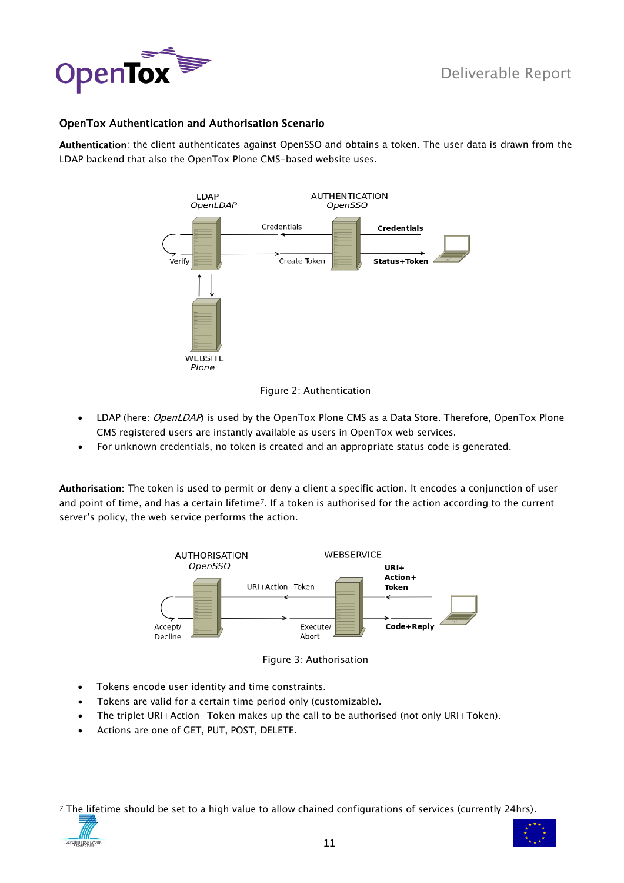



## <span id="page-10-0"></span>OpenTox Authentication and Authorisation Scenario

<span id="page-10-1"></span>Authentication: the client authenticates against OpenSSO and obtains a token. The user data is drawn from the LDAP backend that also the OpenTox Plone CMS-based website uses.



#### Figure 2: Authentication

- LDAP (here: OpenLDAP) is used by the OpenTox Plone CMS as a Data Store. Therefore, OpenTox Plone CMS registered users are instantly available as users in OpenTox web services.
- For unknown credentials, no token is created and an appropriate status code is generated.

<span id="page-10-2"></span>Authorisation: The token is used to permit or deny a client a specific action. It encodes a conjunction of user and point of time, and has a certain lifetime7. If a token is authorised for the action according to the current server's policy, the web service performs the action.



Figure 3: Authorisation

- Tokens encode user identity and time constraints.
- Tokens are valid for a certain time period only (customizable).
- The triplet URI+Action+Token makes up the call to be authorised (not only URI+Token).
- Actions are one of GET, PUT, POST, DELETE.

1

<sup>7</sup> The lifetime should be set to a high value to allow chained configurations of services (currently 24hrs).

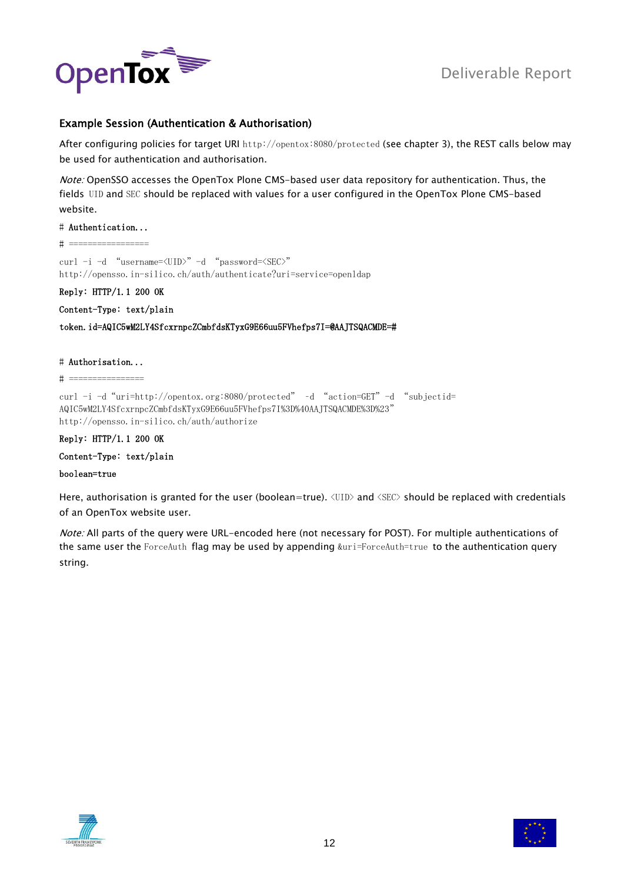

#### <span id="page-11-0"></span>Example Session (Authentication & Authorisation)

After configuring policies for target URI http://opentox:8080/protected (see chapter [3\)](#page-13-0), the REST calls below may be used for authentication and authorisation.

Note: OpenSSO accesses the OpenTox Plone CMS-based user data repository for authentication. Thus, the fields UID and SEC should be replaced with values for a user configured in the OpenTox Plone CMS-based website.

#### # Authentication...

# =================

curl -i -d "username=<UID>"-d "password=<SEC>" http://opensso.in-silico.ch/auth/authenticate?uri=service=openldap

#### Reply: HTTP/1.1 200 OK

Content-Type: text/plain

#### token.id=AQIC5wM2LY4SfcxrnpcZCmbfdsKTyxG9E66uu5FVhefps7I=@AAJTSQACMDE=#

#### # Authorisation...

#### # ================

curl -i -d "uri=http://opentox.org:8080/protected" -d "action=GET" -d "subjectid= AQIC5wM2LY4SfcxrnpcZCmbfdsKTyxG9E66uu5FVhefps7I%3D%40AAJTSQACMDE%3D%23" http://opensso.in-silico.ch/auth/authorize

#### Reply: HTTP/1.1 200 OK

#### Content-Type: text/plain

#### boolean=true

Here, authorisation is granted for the user (boolean=true).  $\langle \text{UID} \rangle$  and  $\langle \text{SEC} \rangle$  should be replaced with credentials of an OpenTox website user.

Note: All parts of the query were URL-encoded here (not necessary for POST). For multiple authentications of the same user the ForceAuth flag may be used by appending &uri=ForceAuth=true to the authentication query string.



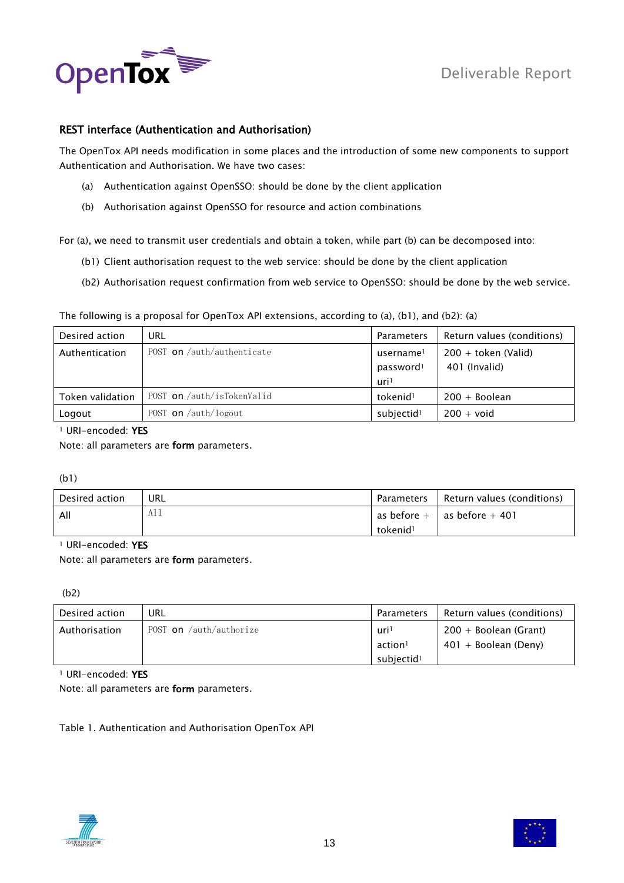

#### <span id="page-12-0"></span>REST interface (Authentication and Authorisation)

The OpenTox API needs modification in some places and the introduction of some new components to support Authentication and Authorisation. We have two cases:

- (a) Authentication against OpenSSO: should be done by the client application
- (b) Authorisation against OpenSSO for resource and action combinations

For (a), we need to transmit user credentials and obtain a token, while part (b) can be decomposed into:

- (b1) Client authorisation request to the web service: should be done by the client application
- (b2) Authorisation request confirmation from web service to OpenSSO: should be done by the web service.

The following is a proposal for OpenTox API extensions, according to (a), (b1), and (b2): (a)

| Desired action   | URL                               | Parameters                                                         | Return values (conditions)             |
|------------------|-----------------------------------|--------------------------------------------------------------------|----------------------------------------|
| Authentication   | POST <b>on</b> /auth/authenticate | username <sup>1</sup><br>password <sup>1</sup><br>uri <sup>1</sup> | $200 +$ token (Valid)<br>401 (Invalid) |
| Token validation | POST <b>on</b> /auth/isTokenValid | tokenid <sup>1</sup>                                               | $200 +$ Boolean                        |
| Logout           | POST <b>on</b> /auth/logout       | subjectid <sup>1</sup>                                             | $200 + void$                           |

<sup>1</sup> URI-encoded: YES

Note: all parameters are form parameters.

(b1)

| Desired action | URL | Parameters           | Return values (conditions)        |
|----------------|-----|----------------------|-----------------------------------|
| All            | A11 |                      | as before $+$   as before $+$ 401 |
|                |     | tokenid <sup>1</sup> |                                   |

<sup>1</sup> URI-encoded: YES

Note: all parameters are form parameters.

(b2)

| Desired action | URL                            | Parameters                  | Return values (conditions)                        |
|----------------|--------------------------------|-----------------------------|---------------------------------------------------|
| Authorisation  | POST <b>on</b> /auth/authorize | uri <sup>1</sup><br>action1 | $200 + Boolean (Grant)$<br>$401 + Boolean (Deny)$ |
|                |                                | subiectid <sup>1</sup>      |                                                   |

<sup>1</sup> URI-encoded: YES

Note: all parameters are form parameters.

<span id="page-12-1"></span>Table 1. Authentication and Authorisation OpenTox API



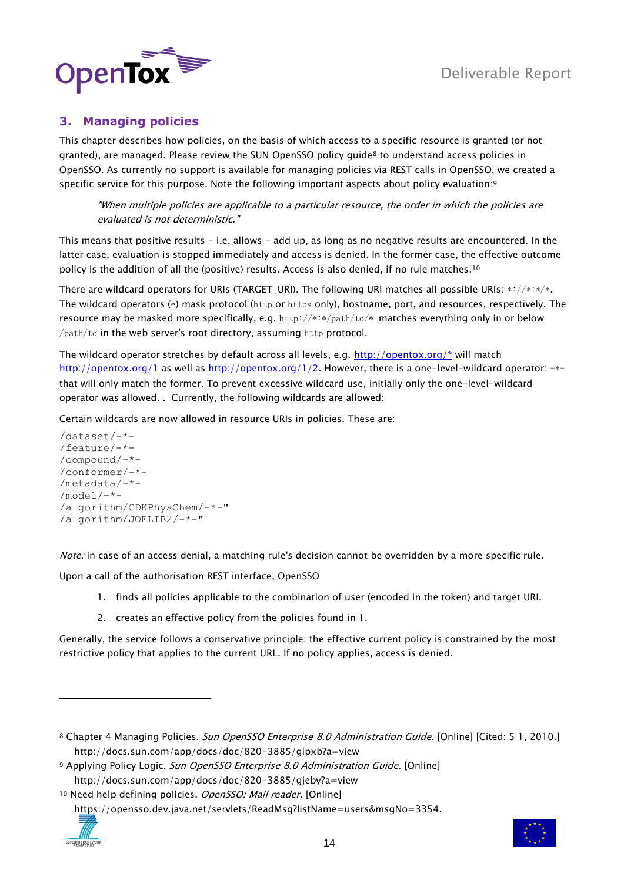

## <span id="page-13-0"></span>**3. Managing policies**

This chapter describes how policies, on the basis of which access to a specific resource is granted (or not granted), are managed. Please review the SUN OpenSSO policy guide<sup>8</sup> to understand access policies in OpenSSO. As currently no support is available for managing policies via REST calls in OpenSSO, we created a specific service for this purpose. Note the following important aspects about policy evaluation: 9

"When multiple policies are applicable to a particular resource, the order in which the policies are evaluated is not deterministic."

This means that positive results - i.e. allows - add up, as long as no negative results are encountered. In the latter case, evaluation is stopped immediately and access is denied. In the former case, the effective outcome policy is the addition of all the (positive) results. Access is also denied, if no rule matches. 10

There are wildcard operators for URIs (TARGET\_URI). The following URI matches all possible URIs: \*://\*:\*/\*. The wildcard operators (\*) mask protocol (http or https only), hostname, port, and resources, respectively. The resource may be masked more specifically, e.g. http://\*:\*/path/to/\* matches everything only in or below /path/to in the web server's root directory, assuming http protocol.

The wildcard operator stretches by default across all levels, e.g.  $\frac{http://operator.org/*}{!}$  will match <http://opentox.org/1> as well as [http://opentox.org/1/2.](http://opentox.org/1/2) However, there is a one-level-wildcard operator: -\*that will only match the former. To prevent excessive wildcard use, initially only the one-level-wildcard operator was allowed. . Currently, the following wildcards are allowed:

Certain wildcards are now allowed in resource URIs in policies. These are:

```
/dataset/-*-
/feature/-*-
/compound/-*-
/conformer/-*-
/metadata/-*-
/model/-*-
/algorithm/CDKPhysChem/-*-"
/algorithm/JOELIB2/-*-"
```
Note: in case of an access denial, a matching rule's decision cannot be overridden by a more specific rule.

Upon a call of the authorisation REST interface, OpenSSO

- 1. finds all policies applicable to the combination of user (encoded in the token) and target URI.
- 2. creates an effective policy from the policies found in 1.

Generally, the service follows a conservative principle: the effective current policy is constrained by the most restrictive policy that applies to the current URL. If no policy applies, access is denied.

<sup>10</sup> Need help defining policies. OpenSSO: Mail reader. [Online]

https://opensso.dev.java.net/servlets/ReadMsg?listName=users&msgNo=3354.



-



<sup>8</sup> Chapter 4 Managing Policies. Sun OpenSSO Enterprise 8.0 Administration Guide. [Online] [Cited: 5 1, 2010.] http://docs.sun.com/app/docs/doc/820-3885/gipxb?a=view

<sup>&</sup>lt;sup>9</sup> Applying Policy Logic. Sun OpenSSO Enterprise 8.0 Administration Guide. [Online] http://docs.sun.com/app/docs/doc/820-3885/gjeby?a=view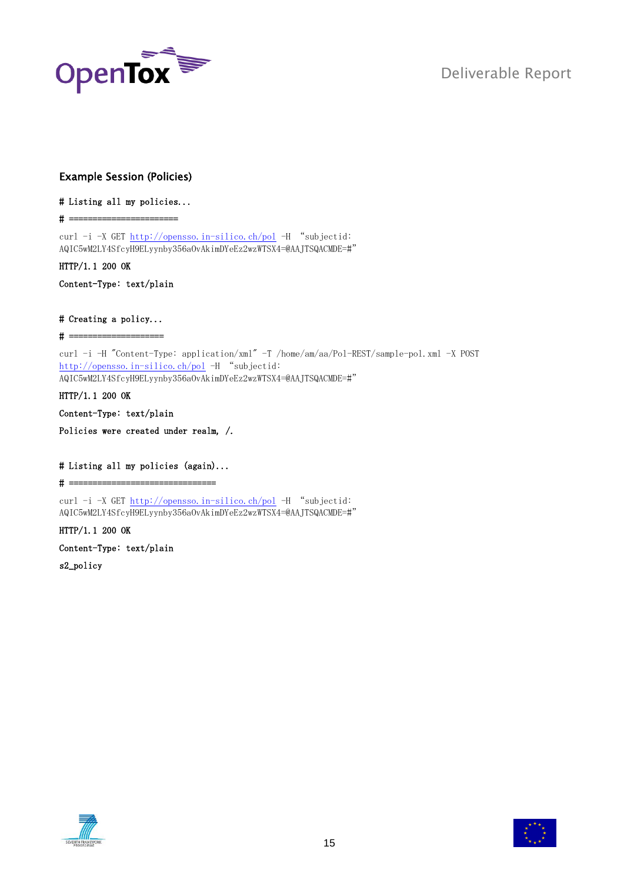

#### <span id="page-14-0"></span>Example Session (Policies)

# Listing all my policies...

# =======================

curl -i -X GET [http://opensso.in-silico.ch/pol](http://opensso.in-silico.ch/Pol/opensso-pol) -H "subjectid: AQIC5wM2LY4SfcyH9ELyynby356aOvAkimDYeEz2wzWTSX4=@AAJTSQACMDE=#"

HTTP/1.1 200 OK

Content-Type: text/plain

# Creating a policy...

curl -i -H "Content-Type: application/xml" -T /home/am/aa/Pol-REST/sample-pol.xml -X POST [http://opensso.in-silico.ch/pol](http://opensso.in-silico.ch/Pol/opensso-pol) -H "subjectid: AQIC5wM2LY4SfcyH9ELyynby356aOvAkimDYeEz2wzWTSX4=@AAJTSQACMDE=#"

HTTP/1.1 200 OK

 $# =$ 

Content-Type: text/plain

Policies were created under realm, /.

# Listing all my policies (again)... # ================================

curl -i -X GET [http://opensso.in-silico.ch/pol](http://opensso.in-silico.ch/Pol/opensso-pol) -H "subjectid: AQIC5wM2LY4SfcyH9ELyynby356aOvAkimDYeEz2wzWTSX4=@AAJTSQACMDE=#"

HTTP/1.1 200 OK

Content-Type: text/plain s2\_policy



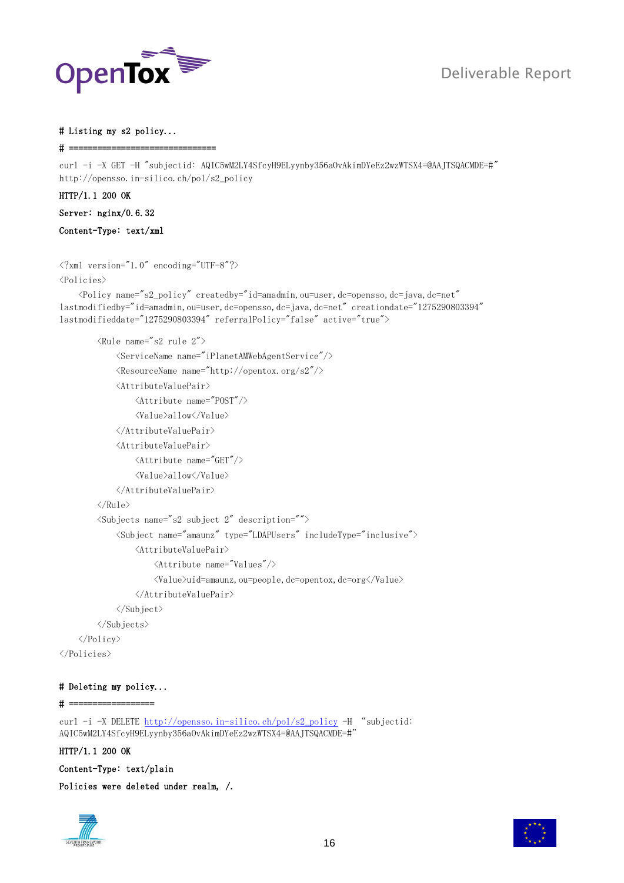

# =================================

Deliverable Report

#### # Listing my s2 policy...

curl -i -X GET -H "subjectid: AQIC5wM2LY4SfcyH9ELyynby356a0vAkimDYeEz2wzWTSX4=@AAJTSQACMDE=#" http://opensso.in-silico.ch/pol/s2\_policy

HTTP/1.1 200 OK

Server: nginx/0.6.32

Content-Type: text/xml

 $\langle ?xm1$  version="1.0" encoding="UTF-8"?>

#### <Policies>

 <Policy name="s2\_policy" createdby="id=amadmin,ou=user,dc=opensso,dc=java,dc=net" lastmodifiedby="id=amadmin,ou=user,dc=opensso,dc=java,dc=net" creationdate="1275290803394" lastmodifieddate="1275290803394" referralPolicy="false" active="true">

```
\langleRule name="s2 rule 2">
              <ServiceName name="iPlanetAMWebAgentService"/>
             \langleResourceName name="http://opentox.org/s2"/>
              <AttributeValuePair>
                  <Attribute name="POST"/>
                  <Value>allow</Value>
              </AttributeValuePair>
              <AttributeValuePair>
                  <Attribute name="GET"/>
                  <Value>allow</Value>
              </AttributeValuePair>
         \langle/Rule>
         \langleSubjects name="s2 subject 2" description="">
              <Subject name="amaunz" type="LDAPUsers" includeType="inclusive">
                  <AttributeValuePair>
                       <Attribute name="Values"/>
                       <Value>uid=amaunz,ou=people,dc=opentox,dc=org</Value>
                  </AttributeValuePair>
              </Subject>
          </Subjects>
    \langle/Policy>
</Policies>
```
#### # Deleting my policy...

```
# ==================
```
curl -i -X DELETE [http://opensso.in-silico.ch/pol/s2\\_policy](http://opensso.in-silico.ch/Pol/opensso-pol/s2_policy) -H "subjectid: AQIC5wM2LY4SfcyH9ELyynby356aOvAkimDYeEz2wzWTSX4=@AAJTSQACMDE=#"

HTTP/1.1 200 OK

Content-Type: text/plain

Policies were deleted under realm, /.



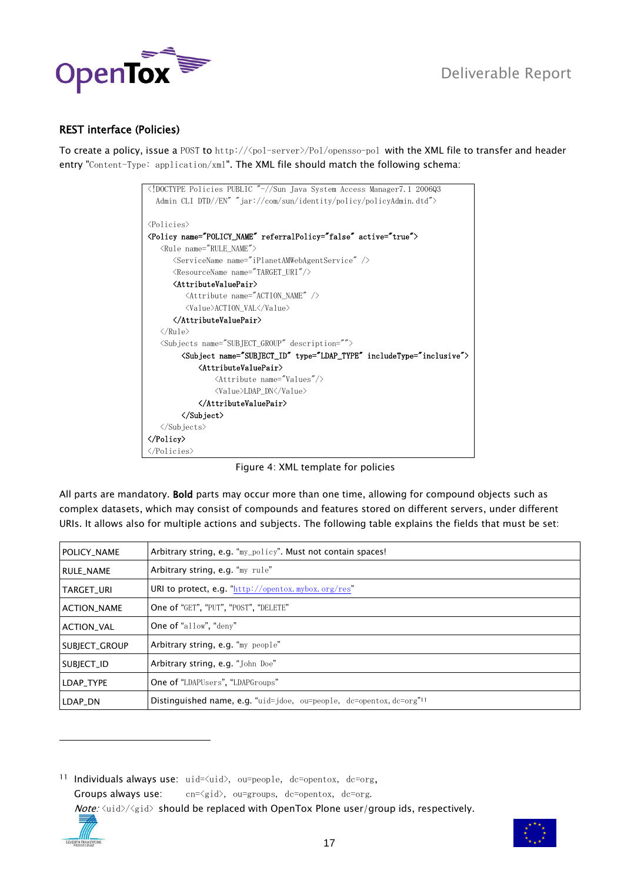

## <span id="page-16-0"></span>REST interface (Policies)

1

To create a policy, issue a POST to http:// $\langle$ pol-server $\rangle$ /Pol/opensso-pol with the XML file to transfer and header entry "Content-Type: application/xml". The XML file should match the following schema:

| Policies PUBLIC "-//Sun Java System Access Manager7.1 2006Q3<br Admin CLI DTD//EN" "jar://com/sun/identity/policy/policyAdmin.dtd"><br>$\langle$ Policies $\rangle$<br><policy active="true" name="POLICY_NAME" referralpolicy="false"><br/><rule name="RULE NAME"><br/><servicename name="iPlanetAMWebAgentService"></servicename><br/><resourcename name="TARGET_URI"></resourcename><br/><attributevaluepair><br/><attribute name="ACTION_NAME"></attribute><br/><value>ACTION VAL</value><br/></attributevaluepair><br/><math>\langle</math>/Rule&gt;<br/><subjects description="" name="SUBJECT_GROUP"><br/><subject includetype="inclusive" name="SUBJECT_ID" type="LDAP_TYPE"><br/><attributevaluepair><br/><attribute name="Values"></attribute><br/><value>LDAP_DN</value><br/></attributevaluepair></subject></subjects></rule></policy> |
|----------------------------------------------------------------------------------------------------------------------------------------------------------------------------------------------------------------------------------------------------------------------------------------------------------------------------------------------------------------------------------------------------------------------------------------------------------------------------------------------------------------------------------------------------------------------------------------------------------------------------------------------------------------------------------------------------------------------------------------------------------------------------------------------------------------------------------------------------|
|                                                                                                                                                                                                                                                                                                                                                                                                                                                                                                                                                                                                                                                                                                                                                                                                                                                    |
|                                                                                                                                                                                                                                                                                                                                                                                                                                                                                                                                                                                                                                                                                                                                                                                                                                                    |
|                                                                                                                                                                                                                                                                                                                                                                                                                                                                                                                                                                                                                                                                                                                                                                                                                                                    |
|                                                                                                                                                                                                                                                                                                                                                                                                                                                                                                                                                                                                                                                                                                                                                                                                                                                    |
|                                                                                                                                                                                                                                                                                                                                                                                                                                                                                                                                                                                                                                                                                                                                                                                                                                                    |
|                                                                                                                                                                                                                                                                                                                                                                                                                                                                                                                                                                                                                                                                                                                                                                                                                                                    |
|                                                                                                                                                                                                                                                                                                                                                                                                                                                                                                                                                                                                                                                                                                                                                                                                                                                    |
|                                                                                                                                                                                                                                                                                                                                                                                                                                                                                                                                                                                                                                                                                                                                                                                                                                                    |
|                                                                                                                                                                                                                                                                                                                                                                                                                                                                                                                                                                                                                                                                                                                                                                                                                                                    |
|                                                                                                                                                                                                                                                                                                                                                                                                                                                                                                                                                                                                                                                                                                                                                                                                                                                    |
|                                                                                                                                                                                                                                                                                                                                                                                                                                                                                                                                                                                                                                                                                                                                                                                                                                                    |
|                                                                                                                                                                                                                                                                                                                                                                                                                                                                                                                                                                                                                                                                                                                                                                                                                                                    |
|                                                                                                                                                                                                                                                                                                                                                                                                                                                                                                                                                                                                                                                                                                                                                                                                                                                    |
|                                                                                                                                                                                                                                                                                                                                                                                                                                                                                                                                                                                                                                                                                                                                                                                                                                                    |
|                                                                                                                                                                                                                                                                                                                                                                                                                                                                                                                                                                                                                                                                                                                                                                                                                                                    |
|                                                                                                                                                                                                                                                                                                                                                                                                                                                                                                                                                                                                                                                                                                                                                                                                                                                    |
|                                                                                                                                                                                                                                                                                                                                                                                                                                                                                                                                                                                                                                                                                                                                                                                                                                                    |
|                                                                                                                                                                                                                                                                                                                                                                                                                                                                                                                                                                                                                                                                                                                                                                                                                                                    |
|                                                                                                                                                                                                                                                                                                                                                                                                                                                                                                                                                                                                                                                                                                                                                                                                                                                    |
|                                                                                                                                                                                                                                                                                                                                                                                                                                                                                                                                                                                                                                                                                                                                                                                                                                                    |
| $\langle$ /Policies>                                                                                                                                                                                                                                                                                                                                                                                                                                                                                                                                                                                                                                                                                                                                                                                                                               |

Figure 4: XML template for policies

All parts are mandatory. Bold parts may occur more than one time, allowing for compound objects such as complex datasets, which may consist of compounds and features stored on different servers, under different URIs. It allows also for multiple actions and subjects. The following table explains the fields that must be set:

| POLICY_NAME        | Arbitrary string, e.g. "my_policy". Must not contain spaces!                   |
|--------------------|--------------------------------------------------------------------------------|
| <b>RULE NAME</b>   | Arbitrary string, e.g. "my rule"                                               |
| <b>TARGET URI</b>  | URI to protect, e.g. "http://opentox.mybox.org/res"                            |
| <b>ACTION NAME</b> | One of "GET", "PUT", "POST", "DELETE"                                          |
| <b>ACTION VAL</b>  | One of "allow", "deny"                                                         |
| SUBJECT_GROUP      | Arbitrary string, e.g. "my people"                                             |
| SUBJECT_ID         | Arbitrary string, e.g. "John Doe"                                              |
| <b>LDAP TYPE</b>   | One of "LDAPUsers", "LDAPGroups"                                               |
| LDAP_DN            | <b>Distinguished name, e.g.</b> "uid=jdoe, ou=people, dc=opentox, $dc=org''11$ |

<sup>&</sup>lt;sup>11</sup> Individuals always use:  $uid=\langle uid \rangle$ ,  $ou=people$ ,  $dc=opentox$ ,  $dc=org$ , Groups always use: cn=<gid>, ou=groups, dc=opentox, dc=org. Note:  $\langle \text{uid}\rangle / \langle \text{gid}\rangle$  should be replaced with OpenTox Plone user/group ids, respectively.

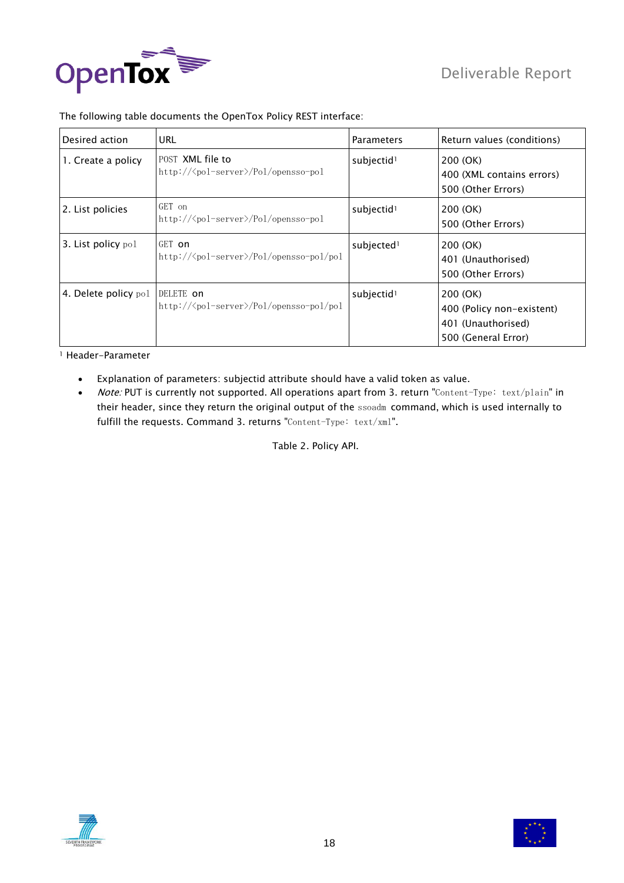



The following table documents the OpenTox Policy REST interface:

| Desired action       | URL                                                                        | <b>Parameters</b>      | Return values (conditions)                                                         |
|----------------------|----------------------------------------------------------------------------|------------------------|------------------------------------------------------------------------------------|
| 1. Create a policy   | POST XML file to<br>$http://$                                              | subjectid <sup>1</sup> | 200 (OK)<br>400 (XML contains errors)<br>500 (Other Errors)                        |
| 2. List policies     | GET on<br>$http://pol-server/Pol/opensso-pol$                              | subjectid <sup>1</sup> | 200 (OK)<br>500 (Other Errors)                                                     |
| 3. List policy pol   | GET on<br>http:// $\langle \text{pol-server} \rangle$ /Pol/opensso-pol/pol | subjected <sup>1</sup> | 200 (OK)<br>401 (Unauthorised)<br>500 (Other Errors)                               |
| 4. Delete policy pol | DELETE on<br>$http:///Pol/pol/opensso-pol/pol$                             | subjectid <sup>1</sup> | 200 (OK)<br>400 (Policy non-existent)<br>401 (Unauthorised)<br>500 (General Error) |

<sup>1</sup> Header-Parameter

- Explanation of parameters: subjectid attribute should have a valid token as value.
- Note: PUT is currently not supported. All operations apart from 3. return "Content-Type: text/plain" in their header, since they return the original output of the ssoadm command, which is used internally to fulfill the requests. Command 3. returns "Content-Type: text/xml".

Table 2. Policy API.



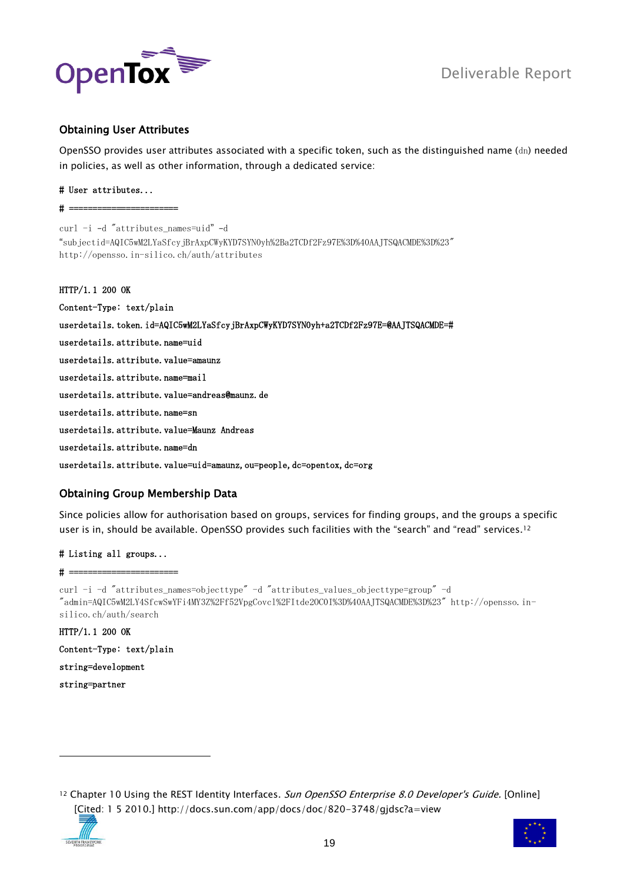



#### <span id="page-18-0"></span>Obtaining User Attributes

OpenSSO provides user attributes associated with a specific token, such as the distinguished name (dn) needed in policies, as well as other information, through a dedicated service:

#### # User attributes...

 $# ==$ 

curl -i –d "attributes\_names=uid" –d

"subjectid=AQIC5wM2LYaSfcyjBrAxpCWyKYD7SYN0yh%2Ba2TCDf2Fz97E%3D%40AAJTSQACMDE%3D%23" http://opensso.in-silico.ch/auth/attributes

HTTP/1.1 200 OK

Content-Type: text/plain userdetails.token.id=AQIC5wM2LYaSfcyjBrAxpCWyKYD7SYN0yh+a2TCDf2Fz97E=@AAJTSQACMDE=# userdetails.attribute.name=uid userdetails.attribute.value=amaunz userdetails.attribute.name=mail userdetails.attribute.value=andreas@maunz.de userdetails.attribute.name=sn userdetails.attribute.value=Maunz Andreas userdetails.attribute.name=dn userdetails.attribute.value=uid=amaunz, ou=people, dc=opentox, dc=org

## <span id="page-18-1"></span>Obtaining Group Membership Data

Since policies allow for authorisation based on groups, services for finding groups, and the groups a specific user is in, should be available. OpenSSO provides such facilities with the "search" and "read" services.<sup>12</sup>

#### # Listing all groups...

# =======================

curl -i -d "attributes\_names=objecttype" -d "attributes\_values\_objecttype=group" -d "admin=AQIC5wM2LY4SfcwSwYFi4MY3Z%2Ff52VpgCovcl%2FItde2OC0I%3D%40AAJTSQACMDE%3D%23" http://opensso.insilico.ch/auth/search

HTTP/1.1 200 OK Content-Type: text/plain string=development string=partner

1

<sup>12</sup> Chapter 10 Using the REST Identity Interfaces. Sun OpenSSO Enterprise 8.0 Developer's Guide. [Online] [Cited: 1 5 2010.] http://docs.sun.com/app/docs/doc/820-3748/gjdsc?a=view

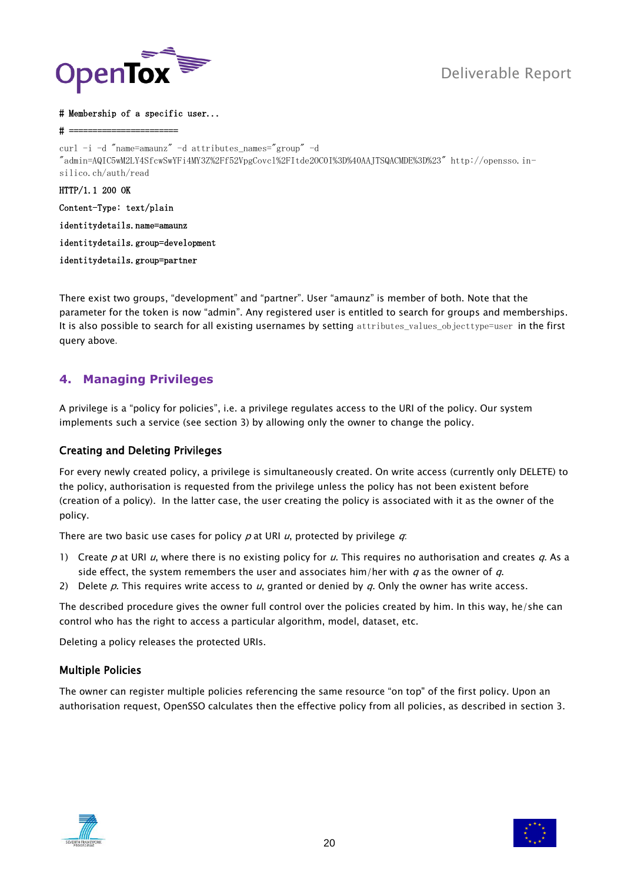

# Membership of a specific user...

# =======================

## curl -i -d "name=amaunz" -d attributes\_names="group" -d "admin=AQIC5wM2LY4SfcwSwYFi4MY3Z%2Ff52VpgCovcl%2FItde2OC0I%3D%40AAJTSQACMDE%3D%23" http://opensso.insilico.ch/auth/read HTTP/1.1 200 OK Content-Type: text/plain identitydetails.name=amaunz identitydetails.group=development

identitydetails.group=partner

There exist two groups, "development" and "partner". User "amaunz" is member of both. Note that the parameter for the token is now "admin". Any registered user is entitled to search for groups and memberships. It is also possible to search for all existing usernames by setting attributes\_values\_objecttype=user in the first query above.

## <span id="page-19-0"></span>**4. Managing Privileges**

A privilege is a "policy for policies", i.e. a privilege regulates access to the URI of the policy. Our system implements such a service (see section [3\)](#page-12-1) by allowing only the owner to change the policy.

#### <span id="page-19-1"></span>Creating and Deleting Privileges

For every newly created policy, a privilege is simultaneously created. On write access (currently only DELETE) to the policy, authorisation is requested from the privilege unless the policy has not been existent before (creation of a policy). In the latter case, the user creating the policy is associated with it as the owner of the policy.

There are two basic use cases for policy  $p$  at URI  $u$ , protected by privilege  $q$ :

- 1) Create  $p$  at URI u, where there is no existing policy for u. This requires no authorisation and creates q. As a side effect, the system remembers the user and associates him/her with q as the owner of  $q$ .
- 2) Delete  $p$ . This requires write access to  $u$ , granted or denied by  $q$ . Only the owner has write access.

The described procedure gives the owner full control over the policies created by him. In this way, he/she can control who has the right to access a particular algorithm, model, dataset, etc.

Deleting a policy releases the protected URIs.

#### <span id="page-19-2"></span>Multiple Policies

The owner can register multiple policies referencing the same resource "on top" of the first policy. Upon an authorisation request, OpenSSO calculates then the effective policy from all policies, as described in section [3.](#page-12-1)



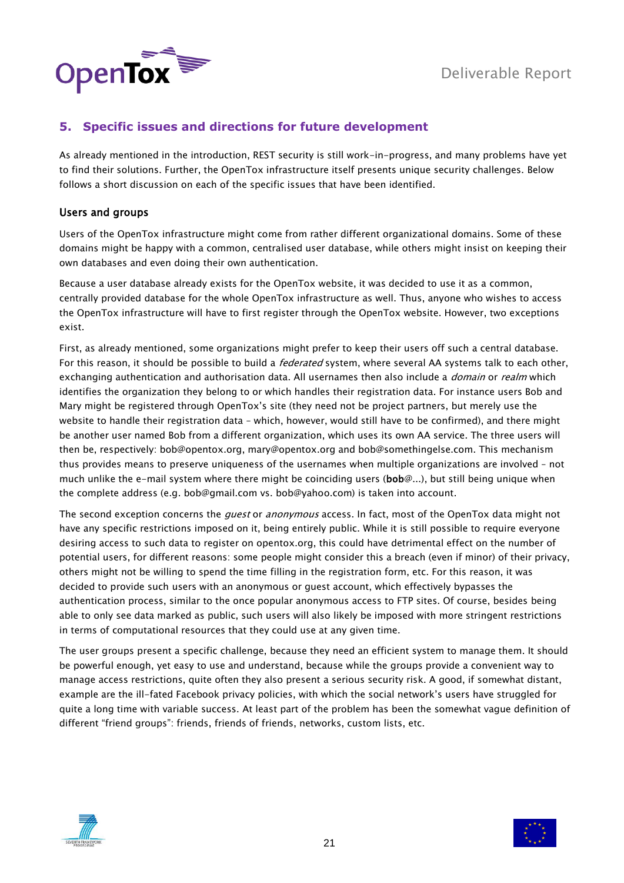

## <span id="page-20-0"></span>**5. Specific issues and directions for future development**

As already mentioned in the introduction, REST security is still work-in-progress, and many problems have yet to find their solutions. Further, the OpenTox infrastructure itself presents unique security challenges. Below follows a short discussion on each of the specific issues that have been identified.

#### <span id="page-20-1"></span>Users and groups

Users of the OpenTox infrastructure might come from rather different organizational domains. Some of these domains might be happy with a common, centralised user database, while others might insist on keeping their own databases and even doing their own authentication.

Because a user database already exists for the OpenTox website, it was decided to use it as a common, centrally provided database for the whole OpenTox infrastructure as well. Thus, anyone who wishes to access the OpenTox infrastructure will have to first register through the OpenTox website. However, two exceptions exist.

First, as already mentioned, some organizations might prefer to keep their users off such a central database. For this reason, it should be possible to build a *federated* system, where several AA systems talk to each other, exchanging authentication and authorisation data. All usernames then also include a *domain* or *realm* which identifies the organization they belong to or which handles their registration data. For instance users Bob and Mary might be registered through OpenTox's site (they need not be project partners, but merely use the website to handle their registration data – which, however, would still have to be confirmed), and there might be another user named Bob from a different organization, which uses its own AA service. The three users will then be, respectively: bob@opentox.org, mary@opentox.org and bob@somethingelse.com. This mechanism thus provides means to preserve uniqueness of the usernames when multiple organizations are involved – not much unlike the e-mail system where there might be coinciding users (bob@...), but still being unique when the complete address (e.g. bob@gmail.com vs. bob@yahoo.com) is taken into account.

The second exception concerns the *quest* or *anonymous* access. In fact, most of the OpenTox data might not have any specific restrictions imposed on it, being entirely public. While it is still possible to require everyone desiring access to such data to register on opentox.org, this could have detrimental effect on the number of potential users, for different reasons: some people might consider this a breach (even if minor) of their privacy, others might not be willing to spend the time filling in the registration form, etc. For this reason, it was decided to provide such users with an anonymous or guest account, which effectively bypasses the authentication process, similar to the once popular anonymous access to FTP sites. Of course, besides being able to only see data marked as public, such users will also likely be imposed with more stringent restrictions in terms of computational resources that they could use at any given time.

The user groups present a specific challenge, because they need an efficient system to manage them. It should be powerful enough, yet easy to use and understand, because while the groups provide a convenient way to manage access restrictions, quite often they also present a serious security risk. A good, if somewhat distant, example are the ill-fated Facebook privacy policies, with which the social network's users have struggled for quite a long time with variable success. At least part of the problem has been the somewhat vague definition of different "friend groups": friends, friends of friends, networks, custom lists, etc.



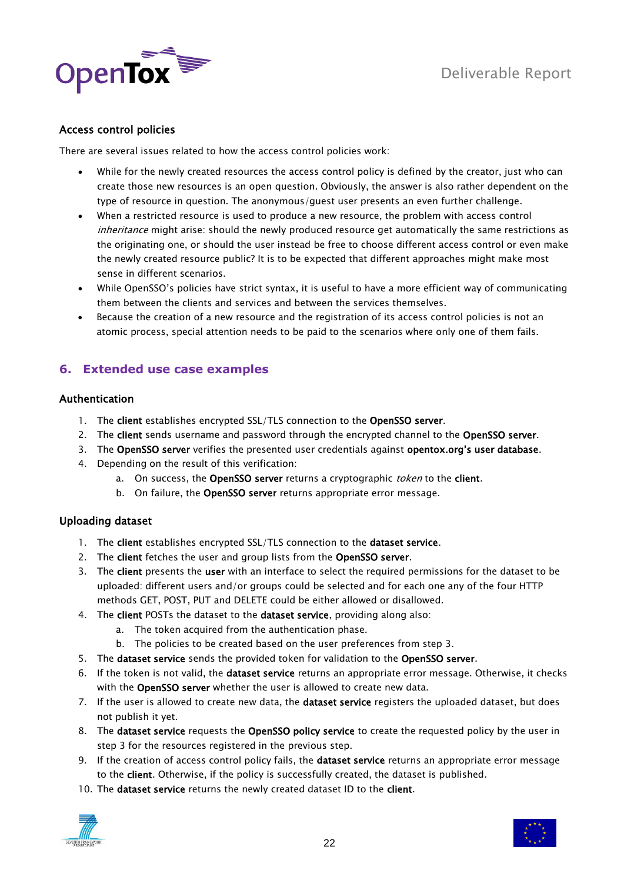

## <span id="page-21-0"></span>Access control policies

There are several issues related to how the access control policies work:

- While for the newly created resources the access control policy is defined by the creator, just who can create those new resources is an open question. Obviously, the answer is also rather dependent on the type of resource in question. The anonymous/guest user presents an even further challenge.
- When a restricted resource is used to produce a new resource, the problem with access control inheritance might arise: should the newly produced resource get automatically the same restrictions as the originating one, or should the user instead be free to choose different access control or even make the newly created resource public? It is to be expected that different approaches might make most sense in different scenarios.
- While OpenSSO's policies have strict syntax, it is useful to have a more efficient way of communicating them between the clients and services and between the services themselves.
- Because the creation of a new resource and the registration of its access control policies is not an atomic process, special attention needs to be paid to the scenarios where only one of them fails.

## <span id="page-21-1"></span>**6. Extended use case examples**

#### <span id="page-21-2"></span>Authentication

- 1. The client establishes encrypted SSL/TLS connection to the OpenSSO server.
- 2. The client sends username and password through the encrypted channel to the OpenSSO server.
- 3. The OpenSSO server verifies the presented user credentials against opentox.org's user database.
- 4. Depending on the result of this verification:
	- a. On success, the OpenSSO server returns a cryptographic token to the client.
	- b. On failure, the OpenSSO server returns appropriate error message.

#### <span id="page-21-3"></span>Uploading dataset

- 1. The client establishes encrypted SSL/TLS connection to the dataset service.
- 2. The client fetches the user and group lists from the OpenSSO server.
- 3. The client presents the user with an interface to select the required permissions for the dataset to be uploaded: different users and/or groups could be selected and for each one any of the four HTTP methods GET, POST, PUT and DELETE could be either allowed or disallowed.
- 4. The client POSTs the dataset to the dataset service, providing along also:
	- a. The token acquired from the authentication phase.
	- b. The policies to be created based on the user preferences from step 3.
- 5. The dataset service sends the provided token for validation to the OpenSSO server.
- 6. If the token is not valid, the dataset service returns an appropriate error message. Otherwise, it checks with the OpenSSO server whether the user is allowed to create new data.
- 7. If the user is allowed to create new data, the dataset service registers the uploaded dataset, but does not publish it yet.
- 8. The dataset service requests the OpenSSO policy service to create the requested policy by the user in step 3 for the resources registered in the previous step.
- 9. If the creation of access control policy fails, the **dataset service** returns an appropriate error message to the client. Otherwise, if the policy is successfully created, the dataset is published.
- 10. The dataset service returns the newly created dataset ID to the client.